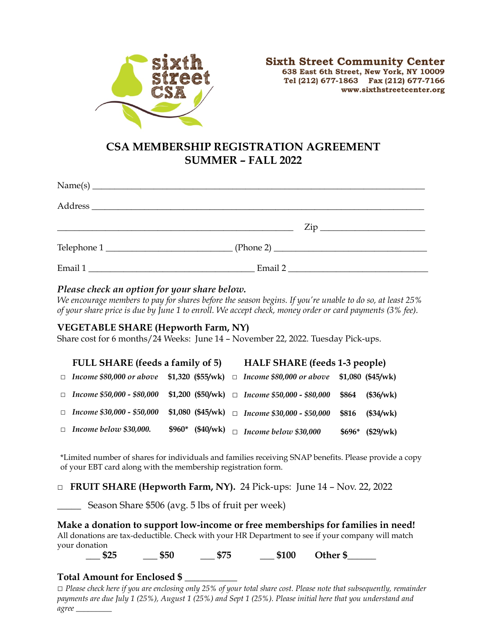

# **CSA MEMBERSHIP REGISTRATION AGREEMENT SUMMER – FALL 2022**

|         | $\mathsf{Zip}\_$<br><u> 1989 - Johann Harry Harry Harry Harry Harry Harry Harry Harry Harry Harry Harry Harry Harry Harry Harry Harry</u> |  |
|---------|-------------------------------------------------------------------------------------------------------------------------------------------|--|
|         | $\text{Telephone } 1$ $\qquad \qquad \text{(Phone 2)}$                                                                                    |  |
| Email 1 | Email 2                                                                                                                                   |  |

### *Please check an option for your share below.*

*We encourage members to pay for shares before the season begins. If you're unable to do so, at least 25% of your share price is due by June 1 to enroll. We accept check, money order or card payments (3% fee).* 

#### **VEGETABLE SHARE (Hepworth Farm, NY)**

Share cost for 6 months/24 Weeks: June 14 – November 22, 2022. Tuesday Pick-ups.

| FULL SHARE (feeds a family of 5)    |                    |  | <b>HALF SHARE</b> (feeds 1-3 people)                |         |                    |  |
|-------------------------------------|--------------------|--|-----------------------------------------------------|---------|--------------------|--|
| $\Box$ Income \$80,000 or above     | $$1,320$ (\$55/wk) |  | $\Box$ Income \$80,000 or above                     |         | $$1,080$ (\$45/wk) |  |
| □ <i>Income</i> \$50,000 - \$80,000 |                    |  | \$1,200 (\$50/wk) $\Box$ Income \$50,000 - \$80,000 | \$864   | (\$36/wk)          |  |
| □ <i>Income</i> \$30,000 - \$50,000 | \$1,080 $(45/wk)$  |  | $\Box$ Income \$30,000 - \$50,000                   | \$816   | (\$34/wk)          |  |
| $\Box$ Income below \$30,000.       | $$960*$<br>(40/wk) |  | Income below \$30,000                               | $$696*$ | (\$29/wk)          |  |

\*Limited number of shares for individuals and families receiving SNAP benefits. Please provide a copy of your EBT card along with the membership registration form.

**□ FRUIT SHARE (Hepworth Farm, NY).** 24 Pick-ups: June 14 – Nov. 22, 2022

Season Share \$506 (avg. 5 lbs of fruit per week)

 **Make a donation to support low-income or free memberships for families in need!**  All donations are tax-deductible. Check with your HR Department to see if your company will match your donation

**\_\_\_ \$25 \_\_\_ \$50 \_\_\_ \$75 \_\_\_ \$100 Other \$\_\_\_\_\_\_**

#### **Total Amount for Enclosed \$** \_\_\_\_\_\_\_\_\_\_\_

□ *Please check here if you are enclosing only 25% of your total share cost. Please note that subsequently, remainder payments are due July 1 (25%), August 1 (25%) and Sept 1 (25%). Please initial here that you understand and agree \_\_\_\_\_\_\_\_\_*